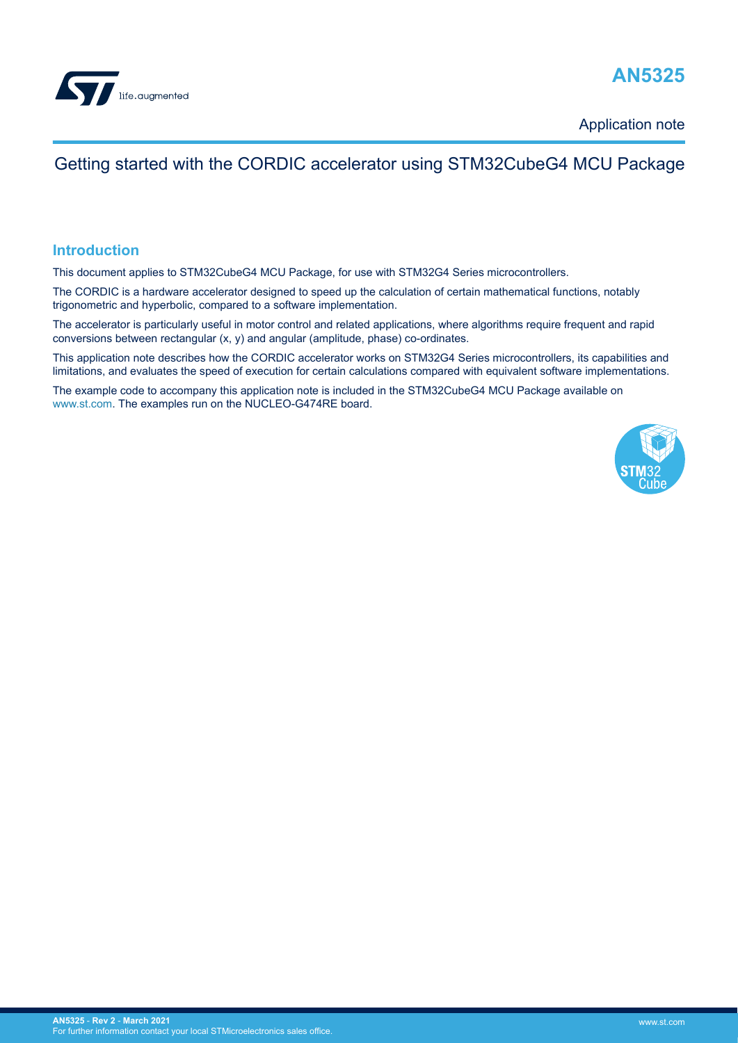

## **AN5325**

Application note

## Getting started with the CORDIC accelerator using STM32CubeG4 MCU Package

#### **Introduction**

This document applies to STM32CubeG4 MCU Package, for use with STM32G4 Series microcontrollers.

The CORDIC is a hardware accelerator designed to speed up the calculation of certain mathematical functions, notably trigonometric and hyperbolic, compared to a software implementation.

The accelerator is particularly useful in motor control and related applications, where algorithms require frequent and rapid conversions between rectangular (x, y) and angular (amplitude, phase) co-ordinates.

This application note describes how the CORDIC accelerator works on STM32G4 Series microcontrollers, its capabilities and limitations, and evaluates the speed of execution for certain calculations compared with equivalent software implementations.

The example code to accompany this application note is included in the STM32CubeG4 MCU Package available on [www.st.com.](http://www.st.com) The examples run on the NUCLEO-G474RE board.

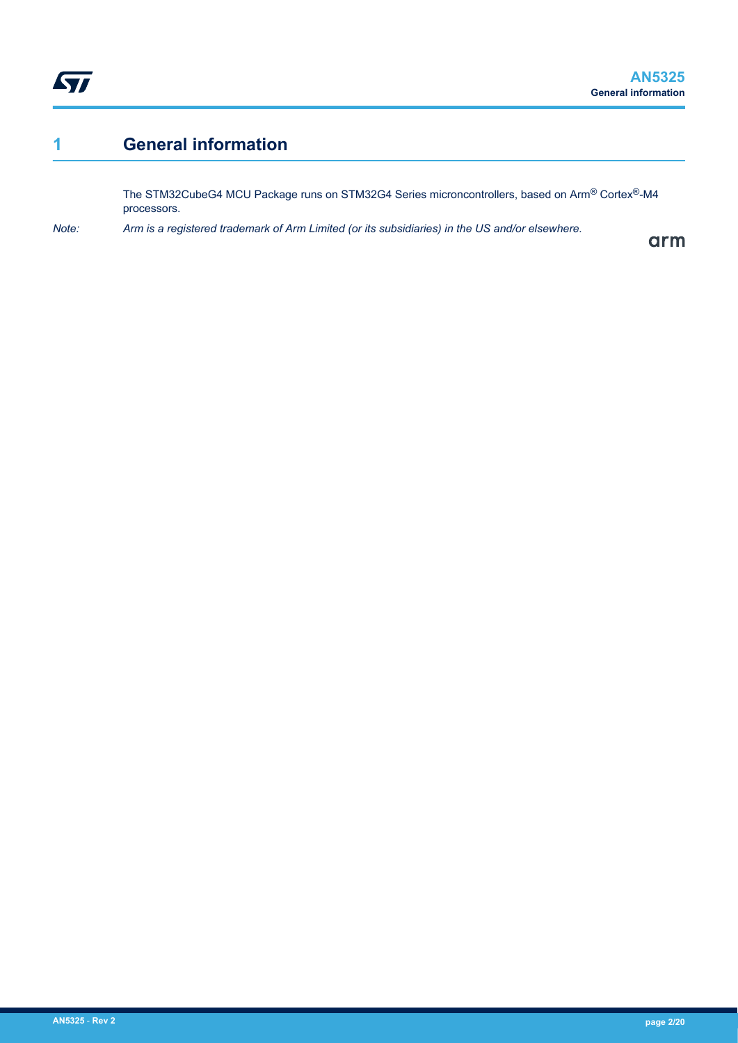## <span id="page-1-0"></span>**1 General information**

The STM32CubeG4 MCU Package runs on STM32G4 Series microncontrollers, based on Arm® Cortex®-M4 processors.

*Note: Arm is a registered trademark of Arm Limited (or its subsidiaries) in the US and/or elsewhere.*

arm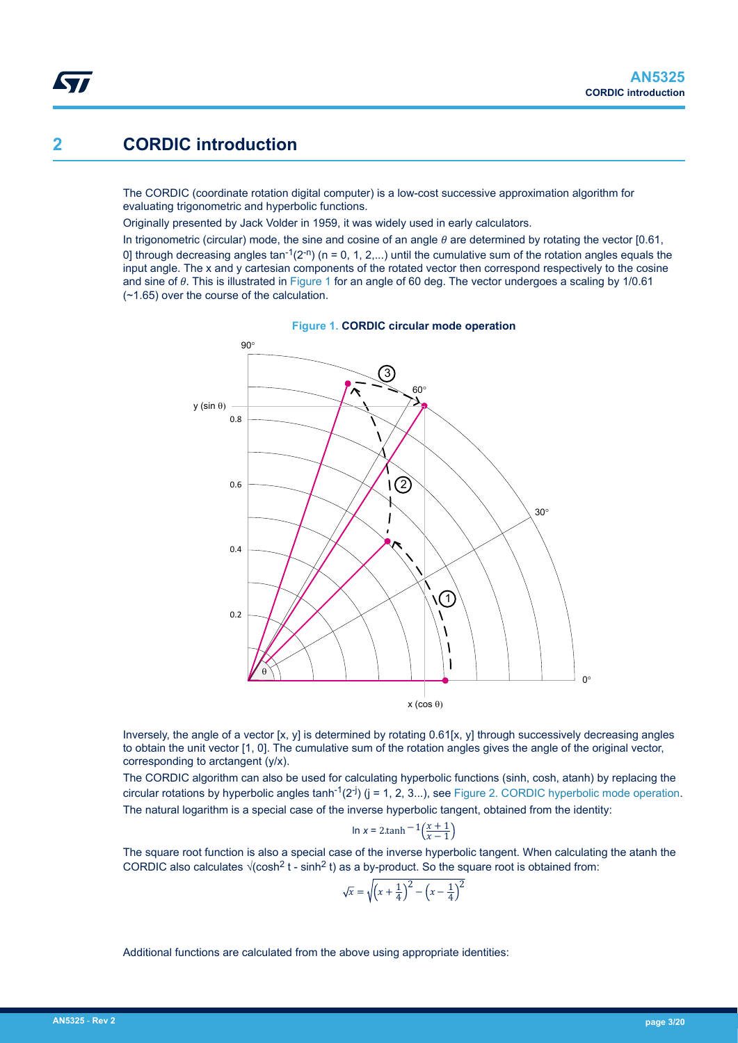### <span id="page-2-0"></span>**2 CORDIC introduction**

The CORDIC (coordinate rotation digital computer) is a low-cost successive approximation algorithm for evaluating trigonometric and hyperbolic functions.

Originally presented by Jack Volder in 1959, it was widely used in early calculators.

In trigonometric (circular) mode, the sine and cosine of an angle  $\theta$  are determined by rotating the vector [0.61, 0] through decreasing angles tan<sup>-1</sup>(2<sup>-n</sup>) (n = 0, 1, 2,...) until the cumulative sum of the rotation angles equals the input angle. The x and y cartesian components of the rotated vector then correspond respectively to the cosine and sine of θ. This is illustrated in Figure 1 for an angle of 60 deg. The vector undergoes a scaling by 1/0.61 (~1.65) over the course of the calculation.



**Figure 1. CORDIC circular mode operation**

Inversely, the angle of a vector [x, y] is determined by rotating 0.61[x, y] through successively decreasing angles to obtain the unit vector [1, 0]. The cumulative sum of the rotation angles gives the angle of the original vector, corresponding to arctangent (y/x).

The CORDIC algorithm can also be used for calculating hyperbolic functions (sinh, cosh, atanh) by replacing the circular rotations by hyperbolic angles  $\tanh^{-1}(2^{-j})$  ( $j = 1, 2, 3...$ ), see [Figure 2. CORDIC hyperbolic mode operation.](#page-3-0) The natural logarithm is a special case of the inverse hyperbolic tangent, obtained from the identity:

$$
\ln x = 2 \cdot \tanh^{-1} \left( \frac{x+1}{x-1} \right)
$$

The square root function is also a special case of the inverse hyperbolic tangent. When calculating the atanh the CORDIC also calculates  $\sqrt{\cosh^2 t - \sinh^2 t}$  as a by-product. So the square root is obtained from:

$$
\sqrt{x} = \sqrt{\left(x + \frac{1}{4}\right)^2 - \left(x - \frac{1}{4}\right)^2}
$$

Additional functions are calculated from the above using appropriate identities: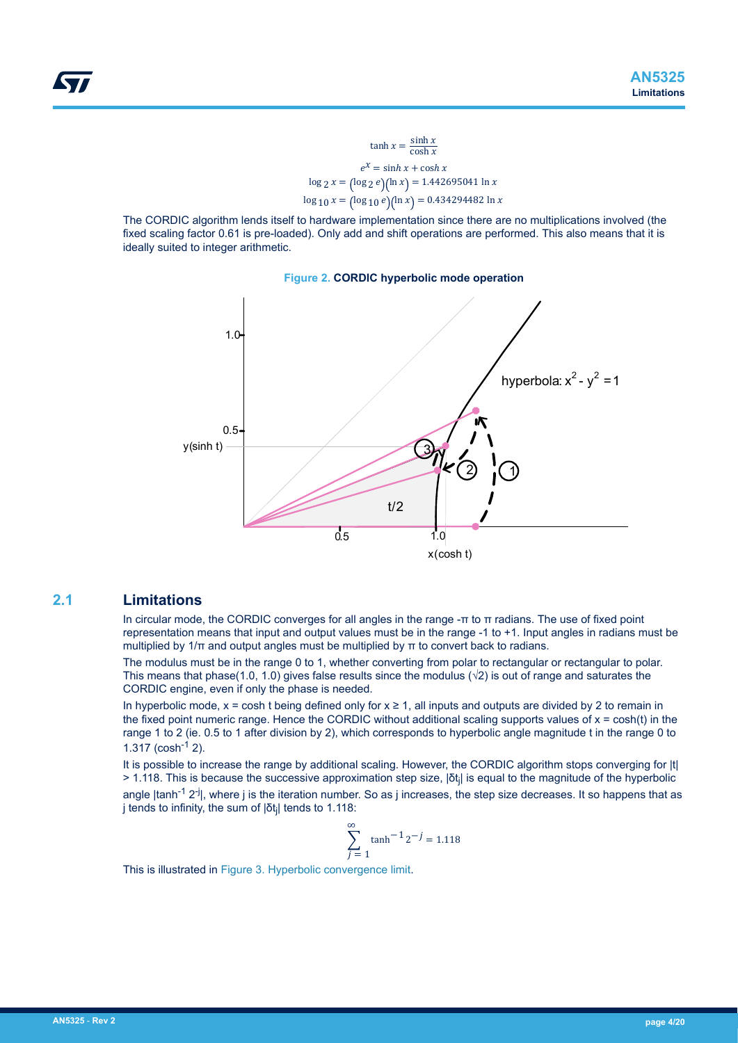$$
\tanh x = \frac{\sinh x}{\cosh x}
$$

$$
e^x = \sinh x + \cosh x
$$

$$
\log 2 x = (\log 2 e)(\ln x) = 1.442695041 \ln x
$$

$$
\log 10 x = (\log 10 e)(\ln x) = 0.434294482 \ln x
$$

<span id="page-3-0"></span>The CORDIC algorithm lends itself to hardware implementation since there are no multiplications involved (the fixed scaling factor 0.61 is pre-loaded). Only add and shift operations are performed. This also means that it is ideally suited to integer arithmetic.



### **2.1 Limitations**

In circular mode, the CORDIC converges for all angles in the range -π to π radians. The use of fixed point representation means that input and output values must be in the range -1 to +1. Input angles in radians must be multiplied by  $1/\pi$  and output angles must be multiplied by  $\pi$  to convert back to radians.

The modulus must be in the range 0 to 1, whether converting from polar to rectangular or rectangular to polar. This means that phase(1.0, 1.0) gives false results since the modulus ( $\sqrt{2}$ ) is out of range and saturates the CORDIC engine, even if only the phase is needed.

In hyperbolic mode,  $x = \cosh t$  being defined only for  $x \ge 1$ , all inputs and outputs are divided by 2 to remain in the fixed point numeric range. Hence the CORDIC without additional scaling supports values of  $x = \cosh(t)$  in the range 1 to 2 (ie. 0.5 to 1 after division by 2), which corresponds to hyperbolic angle magnitude t in the range 0 to  $1.317$  (cosh<sup>-1</sup> 2).

It is possible to increase the range by additional scaling. However, the CORDIC algorithm stops converging for |t| > 1.118. This is because the successive approximation step size, |δt<sub>j</sub>| is equal to the magnitude of the hyperbolic angle  $|tanh^{-1} 2^{-j}|$ , where j is the iteration number. So as j increases, the step size decreases. It so happens that as j tends to infinity, the sum of |δt<sub>j</sub>| tends to 1.118:

$$
\sum_{j=1}^{\infty} \tanh^{-1} 2^{-j} = 1.118
$$

This is illustrated in [Figure 3. Hyperbolic convergence limit](#page-4-0).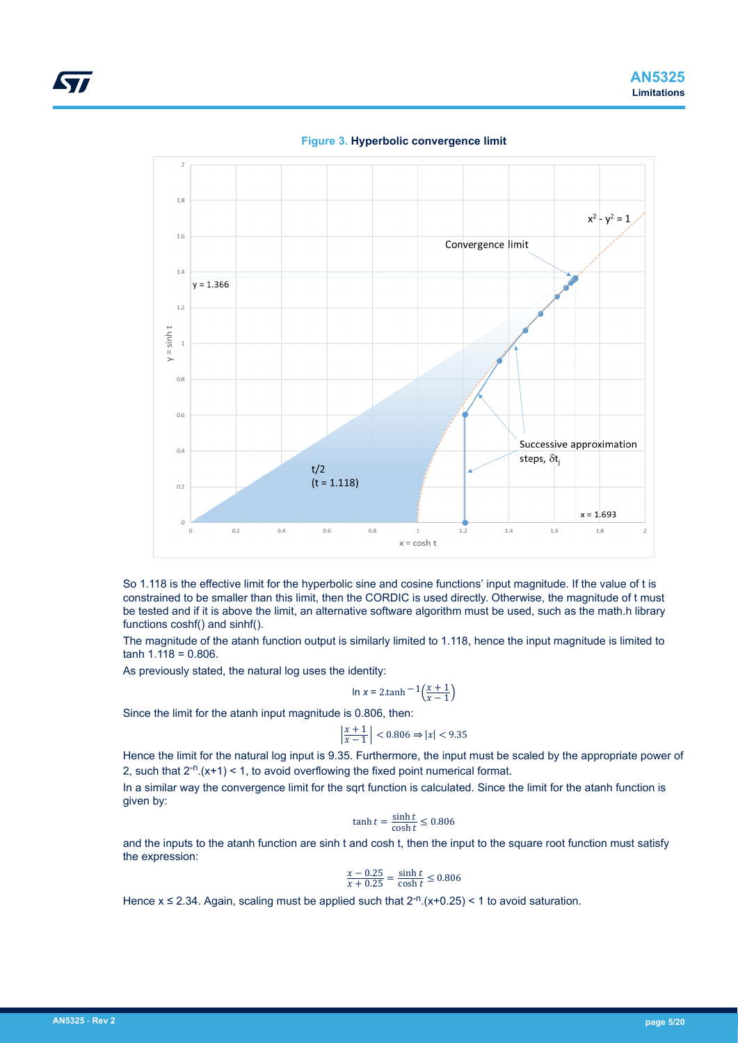<span id="page-4-0"></span>

**Figure 3. Hyperbolic convergence limit**

So 1.118 is the effective limit for the hyperbolic sine and cosine functions' input magnitude. If the value of t is constrained to be smaller than this limit, then the CORDIC is used directly. Otherwise, the magnitude of t must be tested and if it is above the limit, an alternative software algorithm must be used, such as the math.h library functions coshf() and sinhf().

The magnitude of the atanh function output is similarly limited to 1.118, hence the input magnitude is limited to  $tanh 1.118 = 0.806$ .

As previously stated, the natural log uses the identity:

$$
\ln x = 2 \cdot \tanh^{-1} \left( \frac{x+1}{x-1} \right)
$$

Since the limit for the atanh input magnitude is 0.806, then:

$$
\left|\frac{x+1}{x-1}\right| < 0.806 \Rightarrow |x| < 9.35
$$

Hence the limit for the natural log input is 9.35. Furthermore, the input must be scaled by the appropriate power of 2, such that  $2^{-n}$ .  $(x+1)$  < 1, to avoid overflowing the fixed point numerical format.

In a similar way the convergence limit for the sqrt function is calculated. Since the limit for the atanh function is given by:

$$
\tanh t = \frac{\sinh t}{\cosh t} \le 0.806
$$

and the inputs to the atanh function are sinh t and cosh t, then the input to the square root function must satisfy the expression:

$$
\frac{x - 0.25}{x + 0.25} = \frac{\sinh t}{\cosh t} \le 0.806
$$

Hence  $x \le 2.34$ . Again, scaling must be applied such that  $2^{-n}$ . (x+0.25) < 1 to avoid saturation.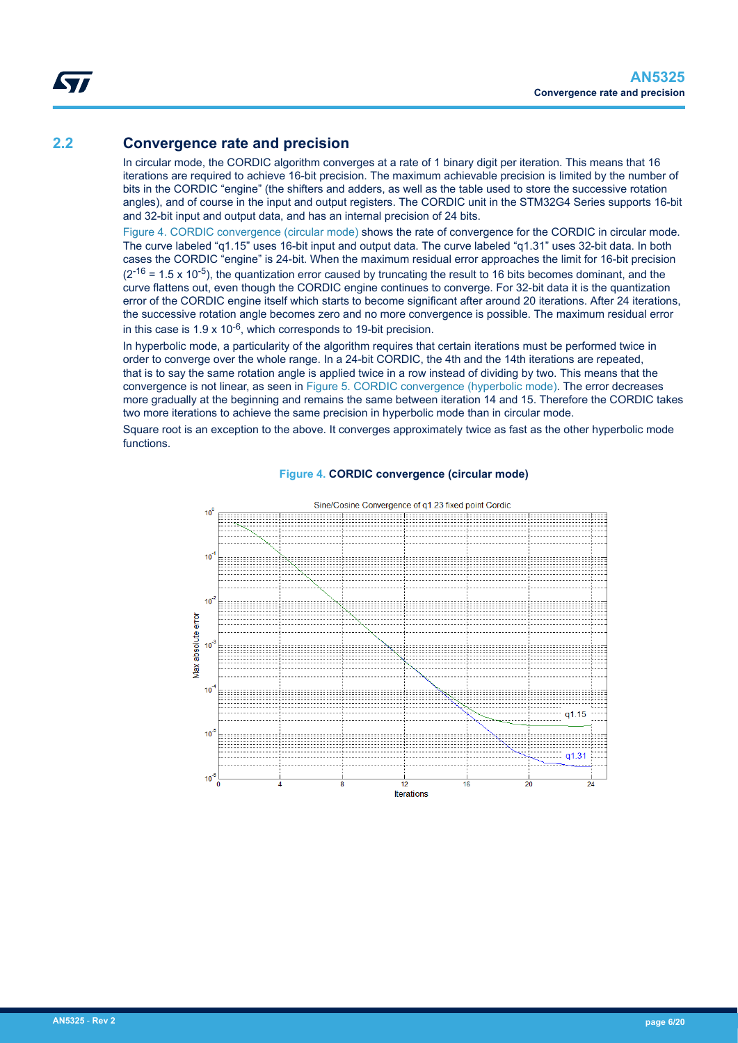### <span id="page-5-0"></span>**2.2 Convergence rate and precision**

In circular mode, the CORDIC algorithm converges at a rate of 1 binary digit per iteration. This means that 16 iterations are required to achieve 16-bit precision. The maximum achievable precision is limited by the number of bits in the CORDIC "engine" (the shifters and adders, as well as the table used to store the successive rotation angles), and of course in the input and output registers. The CORDIC unit in the STM32G4 Series supports 16-bit and 32-bit input and output data, and has an internal precision of 24 bits.

Figure 4. CORDIC convergence (circular mode) shows the rate of convergence for the CORDIC in circular mode. The curve labeled "q1.15" uses 16-bit input and output data. The curve labeled "q1.31" uses 32-bit data. In both cases the CORDIC "engine" is 24-bit. When the maximum residual error approaches the limit for 16-bit precision  $(2^{-16} = 1.5 \times 10^{-5})$ , the quantization error caused by truncating the result to 16 bits becomes dominant, and the curve flattens out, even though the CORDIC engine continues to converge. For 32-bit data it is the quantization error of the CORDIC engine itself which starts to become significant after around 20 iterations. After 24 iterations, the successive rotation angle becomes zero and no more convergence is possible. The maximum residual error in this case is  $1.9 \times 10^{-6}$ , which corresponds to 19-bit precision.

In hyperbolic mode, a particularity of the algorithm requires that certain iterations must be performed twice in order to converge over the whole range. In a 24-bit CORDIC, the 4th and the 14th iterations are repeated, that is to say the same rotation angle is applied twice in a row instead of dividing by two. This means that the convergence is not linear, as seen in [Figure 5. CORDIC convergence \(hyperbolic mode\)](#page-6-0). The error decreases more gradually at the beginning and remains the same between iteration 14 and 15. Therefore the CORDIC takes two more iterations to achieve the same precision in hyperbolic mode than in circular mode.

Square root is an exception to the above. It converges approximately twice as fast as the other hyperbolic mode functions.



#### **Figure 4. CORDIC convergence (circular mode)**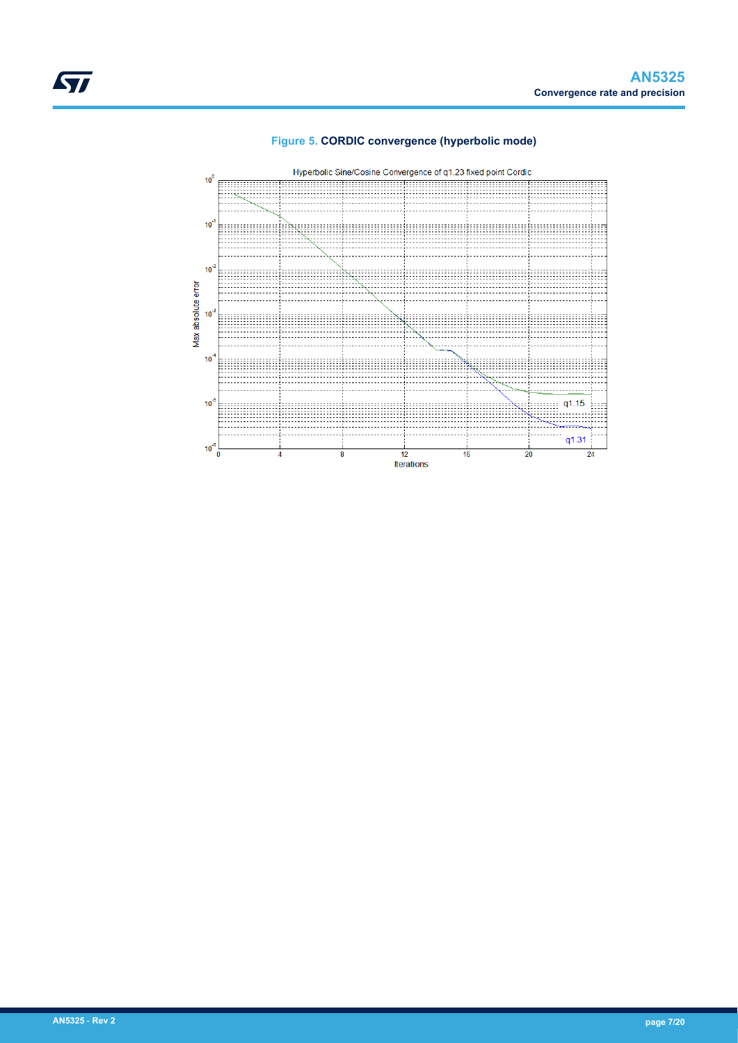

<span id="page-6-0"></span>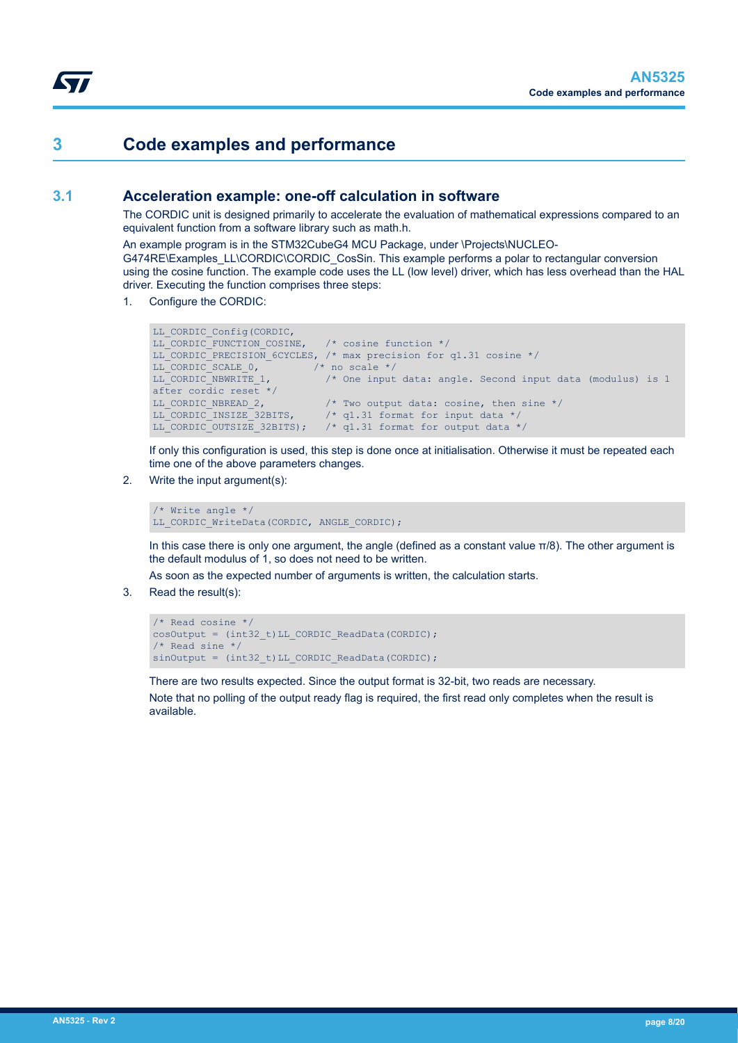### <span id="page-7-0"></span>**3 Code examples and performance**

### **3.1 Acceleration example: one-off calculation in software**

The CORDIC unit is designed primarily to accelerate the evaluation of mathematical expressions compared to an equivalent function from a software library such as math.h.

An example program is in the STM32CubeG4 MCU Package, under \Projects\NUCLEO-G474RE\Examples\_LL\CORDIC\CORDIC\_CosSin. This example performs a polar to rectangular conversion using the cosine function. The example code uses the LL (low level) driver, which has less overhead than the HAL driver. Executing the function comprises three steps:

1. Configure the CORDIC:

```
LL_CORDIC_Config(CORDIC,
LL_CORDIC_FUNCTION_COSINE, /* cosine function */
LL CORDIC PRECISION 6CYCLES, /* max precision for q1.31 cosine */
LL CORDIC SCALE 0, /* no scale */
LL CORDIC NBWRITE 1, \frac{1}{2} /* One input data: angle. Second input data (modulus) is 1
after cordic reset */<br>LL CORDIC NBREAD 2,
LL_CORDIC_NBREAD_2, \frac{1}{2} /* Two output data: cosine, then sine */<br>LL_CORDIC_INSIZE_32BITS, \frac{1}{2} /* q1.31 format for input data */
                                /* q1.31 format for input data */
LL_CORDIC_OUTSIZE_32BITS); /* q1.31 format for output data */
```
If only this configuration is used, this step is done once at initialisation. Otherwise it must be repeated each time one of the above parameters changes.

2. Write the input argument(s):

/\* Write angle \*/ LL CORDIC WriteData(CORDIC, ANGLE CORDIC);

In this case there is only one argument, the angle (defined as a constant value  $π/8$ ). The other argument is the default modulus of 1, so does not need to be written.

As soon as the expected number of arguments is written, the calculation starts.

3. Read the result(s):

```
/* Read cosine */ 
cosOutput = (int32 t)LL CORDIC ReadData(CORDIC);
/* Read sine */ 
sinOutput = (int32 t)LL CORDIC ReadData(CORDIC);
```
There are two results expected. Since the output format is 32-bit, two reads are necessary. Note that no polling of the output ready flag is required, the first read only completes when the result is available.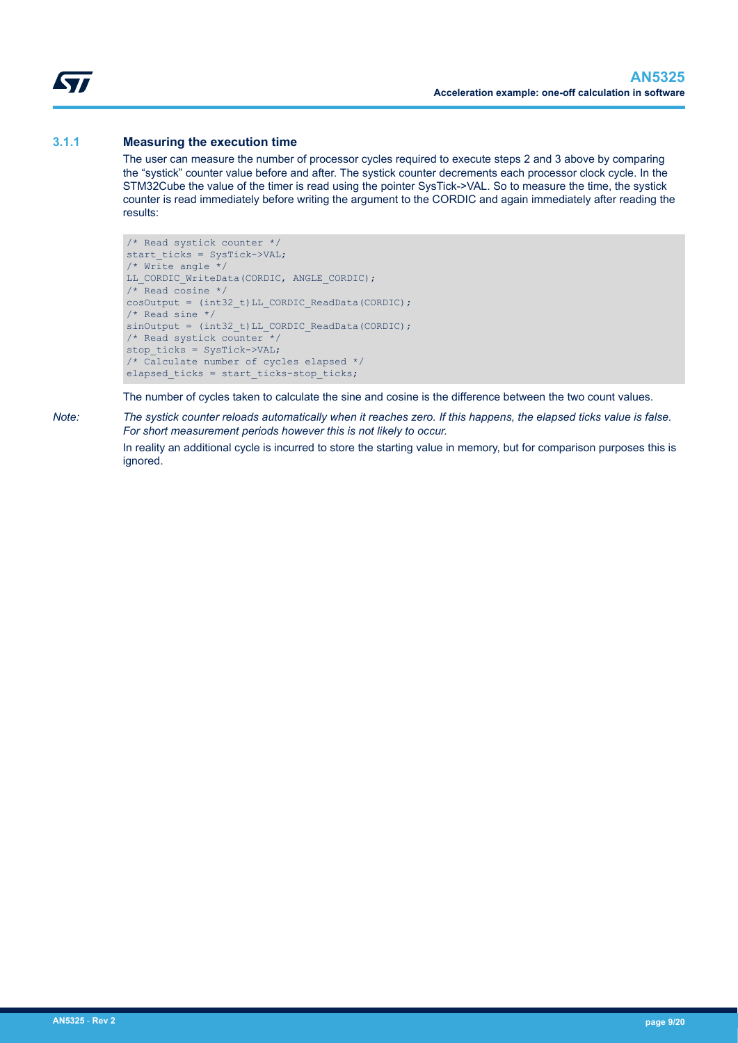<span id="page-8-0"></span>W

#### **3.1.1 Measuring the execution time**

The user can measure the number of processor cycles required to execute steps 2 and 3 above by comparing the "systick" counter value before and after. The systick counter decrements each processor clock cycle. In the STM32Cube the value of the timer is read using the pointer SysTick->VAL. So to measure the time, the systick counter is read immediately before writing the argument to the CORDIC and again immediately after reading the results:

```
/* Read systick counter */
start ticks = SysTick->VAL;
/* Write angle */LL CORDIC WriteData(CORDIC, ANGLE CORDIC);
/* Read cosine */
cosOutput = (int32 t)LL CORDIC ReadData(CORDIC);
/* Read sine */
sinOutput = (int32 t)LL CORDIC ReadData(CORDIC);
/* Read systick counter */
stop ticks = SysTick->VAL;
/* Calculate number of cycles elapsed */
elapsed_ticks = start_ticks-stop_ticks;
```
The number of cycles taken to calculate the sine and cosine is the difference between the two count values.

*Note: The systick counter reloads automatically when it reaches zero. If this happens, the elapsed ticks value is false. For short measurement periods however this is not likely to occur.*

> In reality an additional cycle is incurred to store the starting value in memory, but for comparison purposes this is ignored.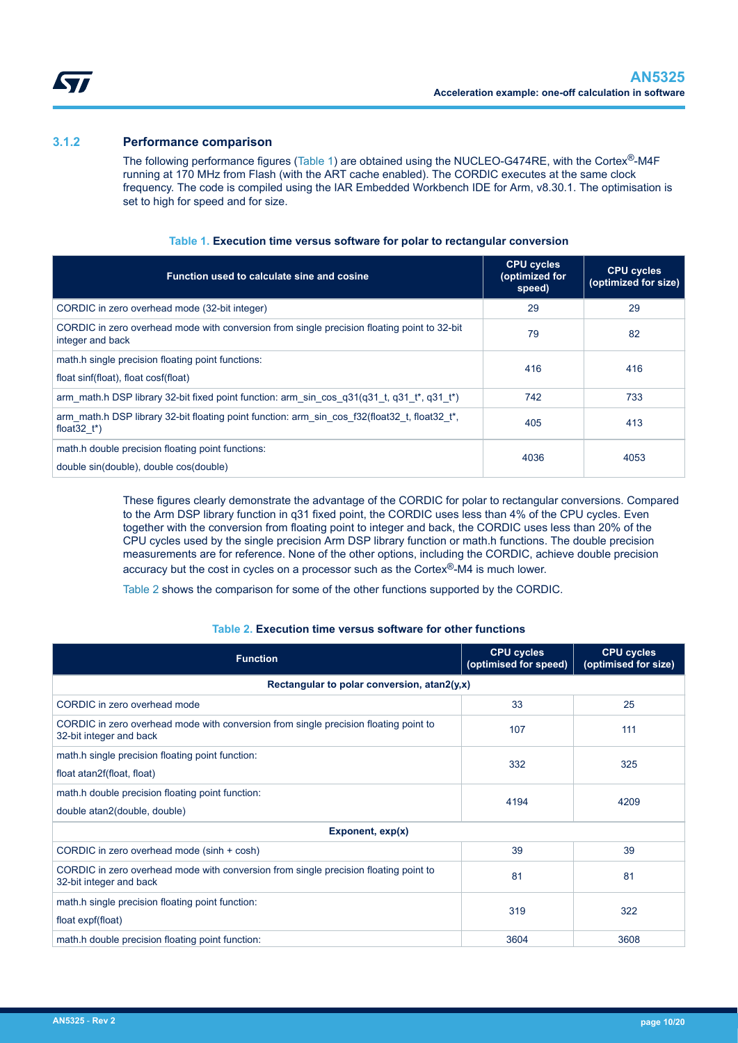<span id="page-9-0"></span>ST

#### **3.1.2 Performance comparison**

The following performance figures (Table 1) are obtained using the NUCLEO-G474RE, with the Cortex®-M4F running at 170 MHz from Flash (with the ART cache enabled). The CORDIC executes at the same clock frequency. The code is compiled using the IAR Embedded Workbench IDE for Arm, v8.30.1. The optimisation is set to high for speed and for size.

| Function used to calculate sine and cosine                                                                                   | <b>CPU cycles</b><br>(optimized for<br>speed) | <b>CPU cycles</b><br>(optimized for size) |
|------------------------------------------------------------------------------------------------------------------------------|-----------------------------------------------|-------------------------------------------|
| CORDIC in zero overhead mode (32-bit integer)                                                                                | 29                                            | 29                                        |
| CORDIC in zero overhead mode with conversion from single precision floating point to 32-bit<br>integer and back              | 79                                            | 82                                        |
| math.h single precision floating point functions:<br>float sinf(float), float cosf(float)                                    | 416                                           | 416                                       |
| arm math.h DSP library 32-bit fixed point function: arm sin cos $q31(q31 t, q31 t^*)$                                        | 742                                           | 733                                       |
| arm math.h DSP library 32-bit floating point function: arm sin cos f32(float32 t, float32 t*,<br>float $32$ t <sup>*</sup> ) | 405                                           | 413                                       |
| math.h double precision floating point functions:<br>double sin(double), double cos(double)                                  | 4036                                          | 4053                                      |

#### **Table 1. Execution time versus software for polar to rectangular conversion**

These figures clearly demonstrate the advantage of the CORDIC for polar to rectangular conversions. Compared to the Arm DSP library function in q31 fixed point, the CORDIC uses less than 4% of the CPU cycles. Even together with the conversion from floating point to integer and back, the CORDIC uses less than 20% of the CPU cycles used by the single precision Arm DSP library function or math.h functions. The double precision measurements are for reference. None of the other options, including the CORDIC, achieve double precision accuracy but the cost in cycles on a processor such as the Cortex®-M4 is much lower.

Table 2 shows the comparison for some of the other functions supported by the CORDIC.

#### **Table 2. Execution time versus software for other functions**

| <b>Function</b>                                                                                                 | <b>CPU cycles</b><br>(optimised for speed) | <b>CPU cycles</b><br>(optimised for size) |  |
|-----------------------------------------------------------------------------------------------------------------|--------------------------------------------|-------------------------------------------|--|
| Rectangular to polar conversion, atan2(y,x)                                                                     |                                            |                                           |  |
| CORDIC in zero overhead mode                                                                                    | 33                                         | 25                                        |  |
| CORDIC in zero overhead mode with conversion from single precision floating point to<br>32-bit integer and back | 107                                        | 111                                       |  |
| math.h single precision floating point function:                                                                | 332                                        | 325                                       |  |
| float atan2f(float, float)                                                                                      |                                            |                                           |  |
| math.h double precision floating point function:                                                                | 4194                                       | 4209                                      |  |
| double atan2(double, double)                                                                                    |                                            |                                           |  |
| Exponent, $exp(x)$                                                                                              |                                            |                                           |  |
| CORDIC in zero overhead mode (sinh + cosh)                                                                      | 39                                         | 39                                        |  |
| CORDIC in zero overhead mode with conversion from single precision floating point to<br>32-bit integer and back | 81                                         | 81                                        |  |
| math.h single precision floating point function:                                                                | 319                                        | 322                                       |  |
| float expf(float)                                                                                               |                                            |                                           |  |
| math.h double precision floating point function:                                                                | 3604                                       | 3608                                      |  |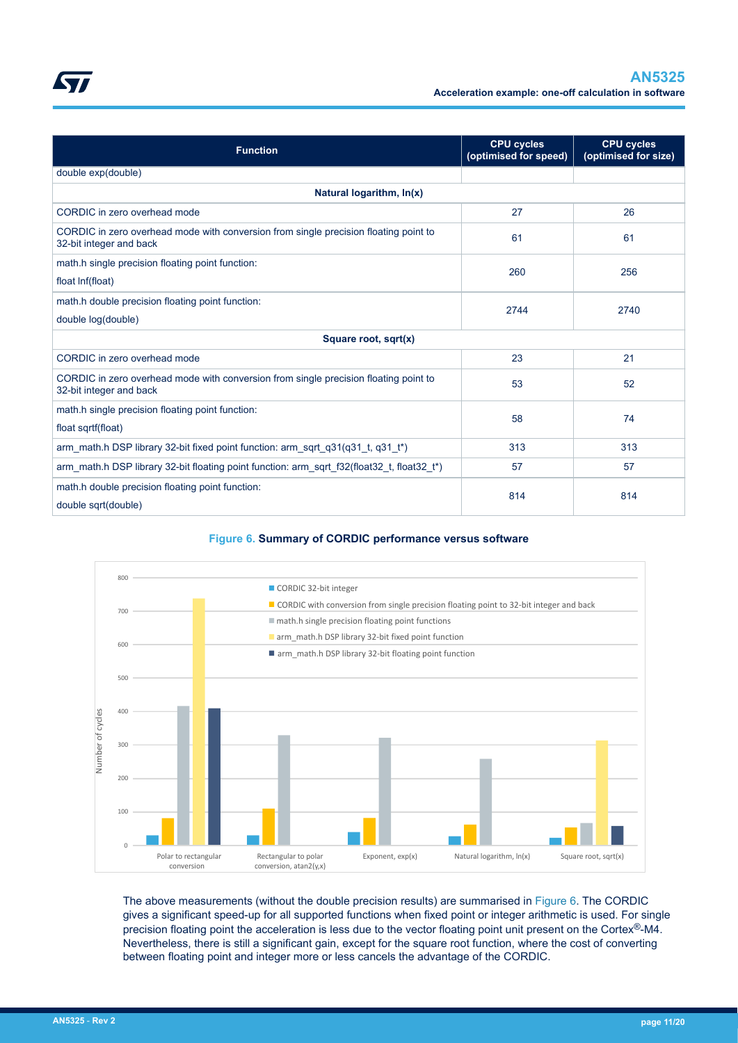

<span id="page-10-0"></span>

|--|

| <b>Function</b>                                                                                                 | <b>CPU cycles</b><br>(optimised for speed) | <b>CPU cycles</b><br>(optimised for size) |  |
|-----------------------------------------------------------------------------------------------------------------|--------------------------------------------|-------------------------------------------|--|
| double exp(double)                                                                                              |                                            |                                           |  |
| Natural logarithm, In(x)                                                                                        |                                            |                                           |  |
| CORDIC in zero overhead mode                                                                                    | 27                                         | 26                                        |  |
| CORDIC in zero overhead mode with conversion from single precision floating point to<br>32-bit integer and back | 61                                         | 61                                        |  |
| math.h single precision floating point function:                                                                | 260                                        | 256                                       |  |
| float Inf(float)                                                                                                |                                            |                                           |  |
| math.h double precision floating point function:<br>2744                                                        |                                            | 2740                                      |  |
| double log(double)                                                                                              |                                            |                                           |  |
| Square root, sqrt(x)                                                                                            |                                            |                                           |  |
| CORDIC in zero overhead mode                                                                                    | 23                                         | 21                                        |  |
| CORDIC in zero overhead mode with conversion from single precision floating point to<br>32-bit integer and back | 53                                         | 52                                        |  |
| math.h single precision floating point function:                                                                | 58                                         | 74                                        |  |
| float sqrtf(float)                                                                                              |                                            |                                           |  |
| arm math h DSP library 32-bit fixed point function: arm sqrt $q31(q31 t, q31 t^*)$                              | 313                                        | 313                                       |  |
| arm_math.h DSP library 32-bit floating point function: arm_sqrt_f32(float32_t, float32_t*)                      | 57                                         | 57                                        |  |
| math.h double precision floating point function:                                                                | 814                                        |                                           |  |
| 814<br>double sqrt(double)                                                                                      |                                            |                                           |  |

#### **Figure 6. Summary of CORDIC performance versus software**



The above measurements (without the double precision results) are summarised in Figure 6. The CORDIC gives a significant speed-up for all supported functions when fixed point or integer arithmetic is used. For single precision floating point the acceleration is less due to the vector floating point unit present on the Cortex®-M4. Nevertheless, there is still a significant gain, except for the square root function, where the cost of converting between floating point and integer more or less cancels the advantage of the CORDIC.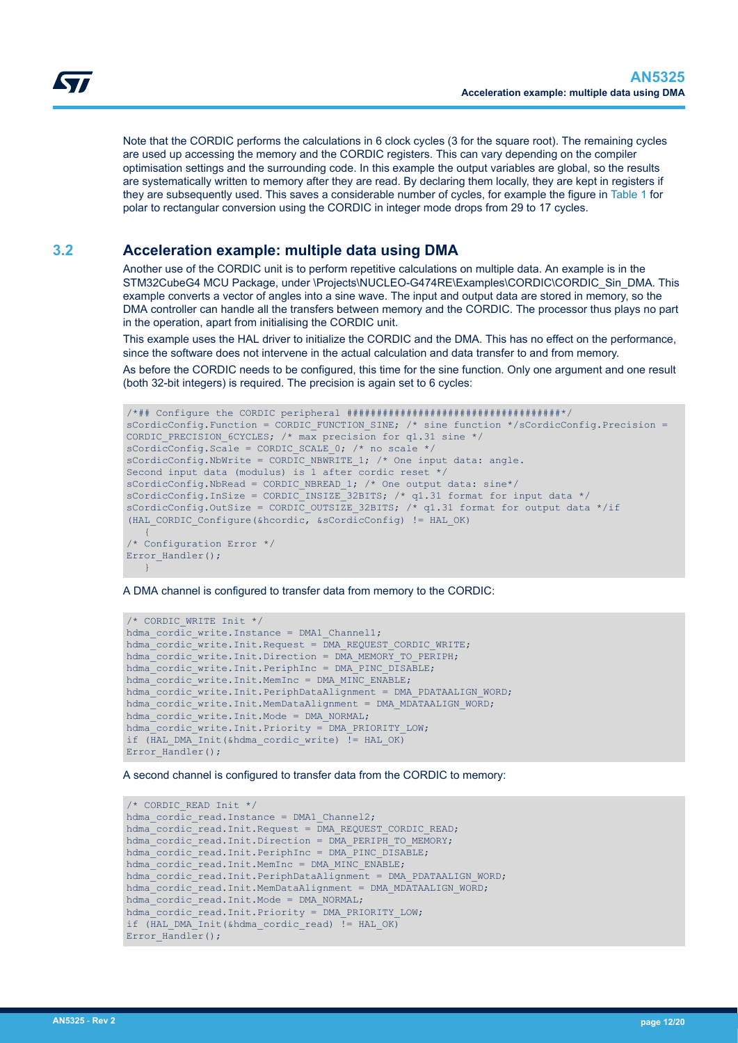<span id="page-11-0"></span>Note that the CORDIC performs the calculations in 6 clock cycles (3 for the square root). The remaining cycles are used up accessing the memory and the CORDIC registers. This can vary depending on the compiler optimisation settings and the surrounding code. In this example the output variables are global, so the results are systematically written to memory after they are read. By declaring them locally, they are kept in registers if they are subsequently used. This saves a considerable number of cycles, for example the figure in [Table 1](#page-9-0) for polar to rectangular conversion using the CORDIC in integer mode drops from 29 to 17 cycles.

### **3.2 Acceleration example: multiple data using DMA**

Another use of the CORDIC unit is to perform repetitive calculations on multiple data. An example is in the STM32CubeG4 MCU Package, under \Projects\NUCLEO-G474RE\Examples\CORDIC\CORDIC\_Sin\_DMA. This example converts a vector of angles into a sine wave. The input and output data are stored in memory, so the DMA controller can handle all the transfers between memory and the CORDIC. The processor thus plays no part in the operation, apart from initialising the CORDIC unit.

This example uses the HAL driver to initialize the CORDIC and the DMA. This has no effect on the performance, since the software does not intervene in the actual calculation and data transfer to and from memory.

As before the CORDIC needs to be configured, this time for the sine function. Only one argument and one result (both 32-bit integers) is required. The precision is again set to 6 cycles:

```
/*## Configure the CORDIC peripheral ####################################*/
sCordicConfig.Function = CORDIC FUNCTION SINE; /* sine function */sCordicConfig.Precision =
CORDIC PRECISION 6CYCLES; /* max precision for q1.31 sine */
sCordicConfig.Scale = CORDIC SCALE 0; /* no scale */
sCordicConfig.NbWrite = CORDIC NBWRITE 1; /* One input data: angle.
Second input data (modulus) is 1 after cordic reset */
sCordicConfig.NbRead = CORDIC_NBREAD_1; /* One output data: sine*/
sCordicConfig.InSize = CORDIC INSIZE 32BITS; /* q1.31 format for input data */sCordicConfig.OutSize = CORDIC OUTSIZE 32BITS; /* q1.31 format for output data */if
(HAL_CORDIC_Configure(&hcordic, &sCordicConfig) != HAL_OK)
   {
/* Configuration Error */
Error Handler();
   }
```
A DMA channel is configured to transfer data from memory to the CORDIC:

```
/* CORDIC_WRITE Init */
hdma_cordic_write.Instance = DMA1_Channel1;
hdma_cordic_write.Init.Request = DMA_REQUEST_CORDIC_WRITE;
hdma_cordic_write.Init.Direction = DMA_MEMORY_TO_PERIPH;
hdma_cordic_write.Init.PeriphInc = DMA_PINC_DISABLE;
hdma_cordic_write.Init.MemInc = DMA_MINC_ENABLE;
hdma_cordic_write.Init.PeriphDataAlignment = DMA_PDATAALIGN_WORD;
hdma_cordic_write.Init.MemDataAlignment = DMA_MDATAALIGN_WORD;
hdma\overline{\text{cordic}} write. Init. Mode = DMA_NORMAL;
hdma_cordic_write.Init.Priority = DMA_PRIORITY_LOW;
if (HAL DMA Init(&hdma cordic write) != HAL OK)
Error_Handler();
```
A second channel is configured to transfer data from the CORDIC to memory:

```
/* CORDIC_READ Init */
hdma cordic read. Instance = DMA1 Channel2;
hdma_cordic_read.Init.Request = DMA_REQUEST_CORDIC_READ;
hdma_cordic_read.Init.Direction = DMA_PERIPH_TO_MEMORY;
hdma<sup>-</sup>cordic<sup>-</sup>read.Init.PeriphInc = DMA<sup>-</sup>PINC_DISABLE;
hdma cordic read. Init. MemInc = DMA MINC ENABLE;
hdma_cordic_read.Init.PeriphDataAlignment = DMA_PDATAALIGN_WORD;
hdma_cordic_read.Init.MemDataAlignment = DMA_MDATAALIGN_WORD;
hdma\overline{\text{cordic}} read. Init. Mode = DMA NORMAL;
hdma_cordic_read.Init.Priority = DMA_PRIORITY_LOW;
if (HAL_DMA_Init(&hdma_cordic_read) != HAL_OK)
Error Handler();
```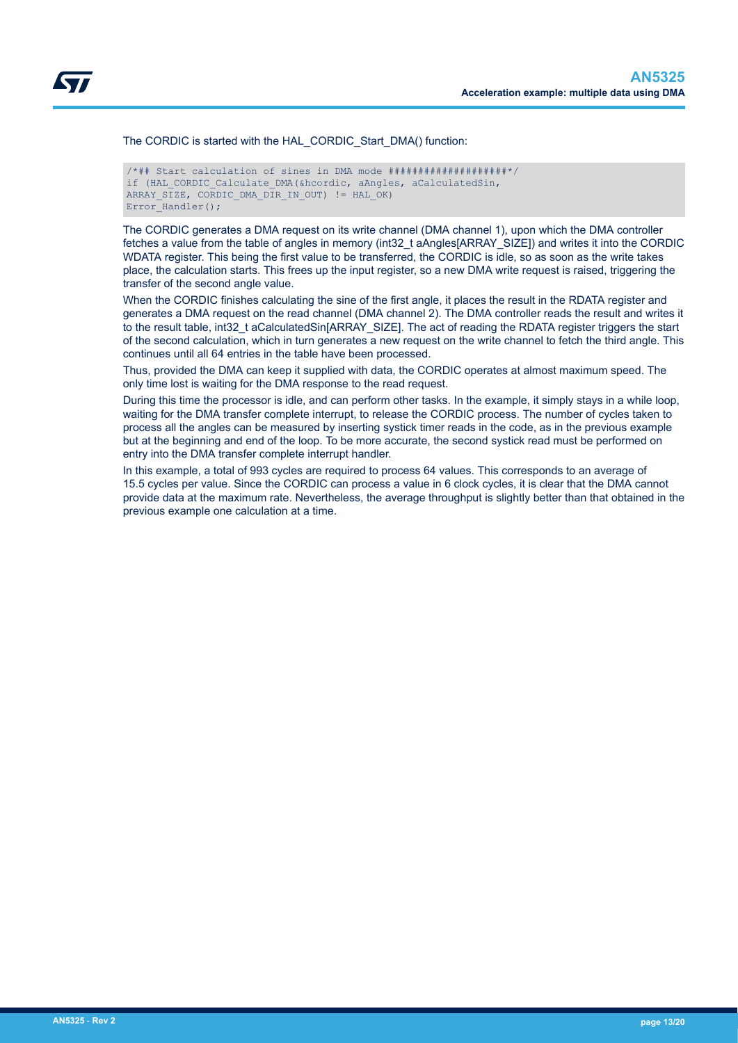The CORDIC is started with the HAL\_CORDIC\_Start\_DMA() function:

```
/*## Start calculation of sines in DMA mode ####################*/
if (HAL CORDIC Calculate DMA(&hcordic, aAngles, aCalculatedSin,
ARRAY SIZE, CORDIC DMA DIR IN OUT) != HAL OK)
Error Handler();
```
The CORDIC generates a DMA request on its write channel (DMA channel 1), upon which the DMA controller fetches a value from the table of angles in memory (int32\_t aAngles[ARRAY\_SIZE]) and writes it into the CORDIC WDATA register. This being the first value to be transferred, the CORDIC is idle, so as soon as the write takes place, the calculation starts. This frees up the input register, so a new DMA write request is raised, triggering the transfer of the second angle value.

When the CORDIC finishes calculating the sine of the first angle, it places the result in the RDATA register and generates a DMA request on the read channel (DMA channel 2). The DMA controller reads the result and writes it to the result table, int32\_t aCalculatedSin[ARRAY\_SIZE]. The act of reading the RDATA register triggers the start of the second calculation, which in turn generates a new request on the write channel to fetch the third angle. This continues until all 64 entries in the table have been processed.

Thus, provided the DMA can keep it supplied with data, the CORDIC operates at almost maximum speed. The only time lost is waiting for the DMA response to the read request.

During this time the processor is idle, and can perform other tasks. In the example, it simply stays in a while loop, waiting for the DMA transfer complete interrupt, to release the CORDIC process. The number of cycles taken to process all the angles can be measured by inserting systick timer reads in the code, as in the previous example but at the beginning and end of the loop. To be more accurate, the second systick read must be performed on entry into the DMA transfer complete interrupt handler.

In this example, a total of 993 cycles are required to process 64 values. This corresponds to an average of 15.5 cycles per value. Since the CORDIC can process a value in 6 clock cycles, it is clear that the DMA cannot provide data at the maximum rate. Nevertheless, the average throughput is slightly better than that obtained in the previous example one calculation at a time.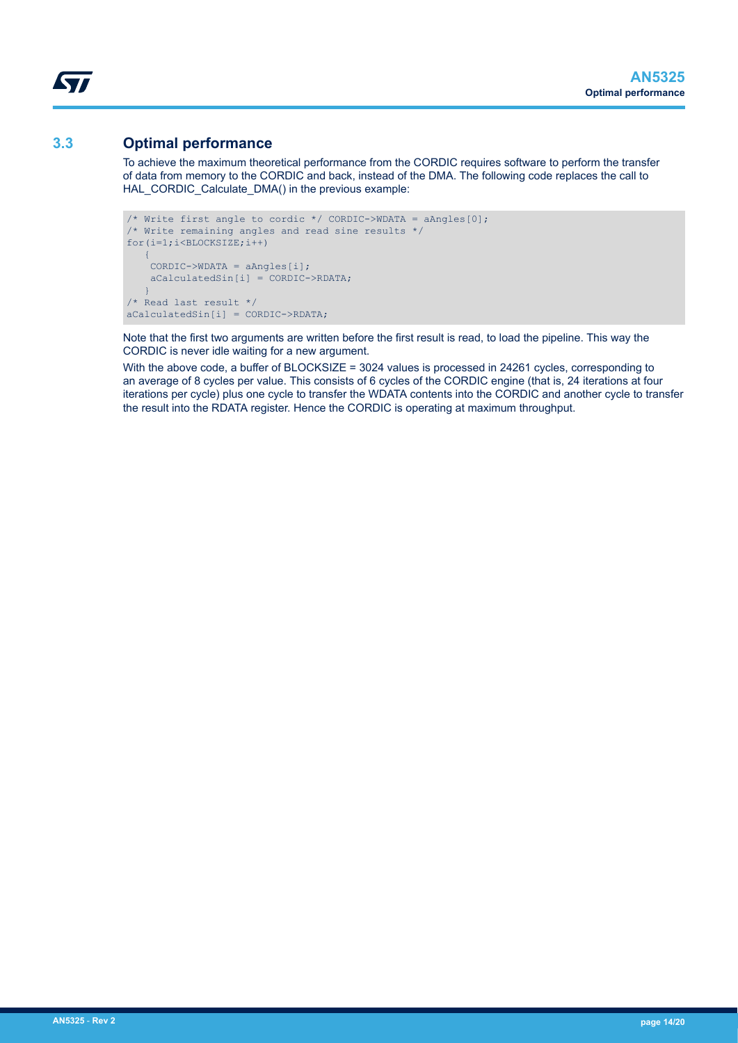### **3.3 Optimal performance**

<span id="page-13-0"></span>ST

To achieve the maximum theoretical performance from the CORDIC requires software to perform the transfer of data from memory to the CORDIC and back, instead of the DMA. The following code replaces the call to HAL\_CORDIC\_Calculate\_DMA() in the previous example:

```
/* Write first angle to cordic */ CORDIC->WDATA = aAngles[0];
/* Write remaining angles and read sine results */for(i=1;i<BLOCKSIZE;i++)
\sim \sim {
     CORDIC->WDATA = aAngles[i]; aCalculatedSin[i] = CORDIC->RDATA;
\left\{\begin{array}{cc} 1 & 1 \\ 1 & 1 \end{array}\right\}/* Read last result */ 
aCalculatedSin[i] = CORDIC->RDATA;
```
Note that the first two arguments are written before the first result is read, to load the pipeline. This way the CORDIC is never idle waiting for a new argument.

With the above code, a buffer of BLOCKSIZE = 3024 values is processed in 24261 cycles, corresponding to an average of 8 cycles per value. This consists of 6 cycles of the CORDIC engine (that is, 24 iterations at four iterations per cycle) plus one cycle to transfer the WDATA contents into the CORDIC and another cycle to transfer the result into the RDATA register. Hence the CORDIC is operating at maximum throughput.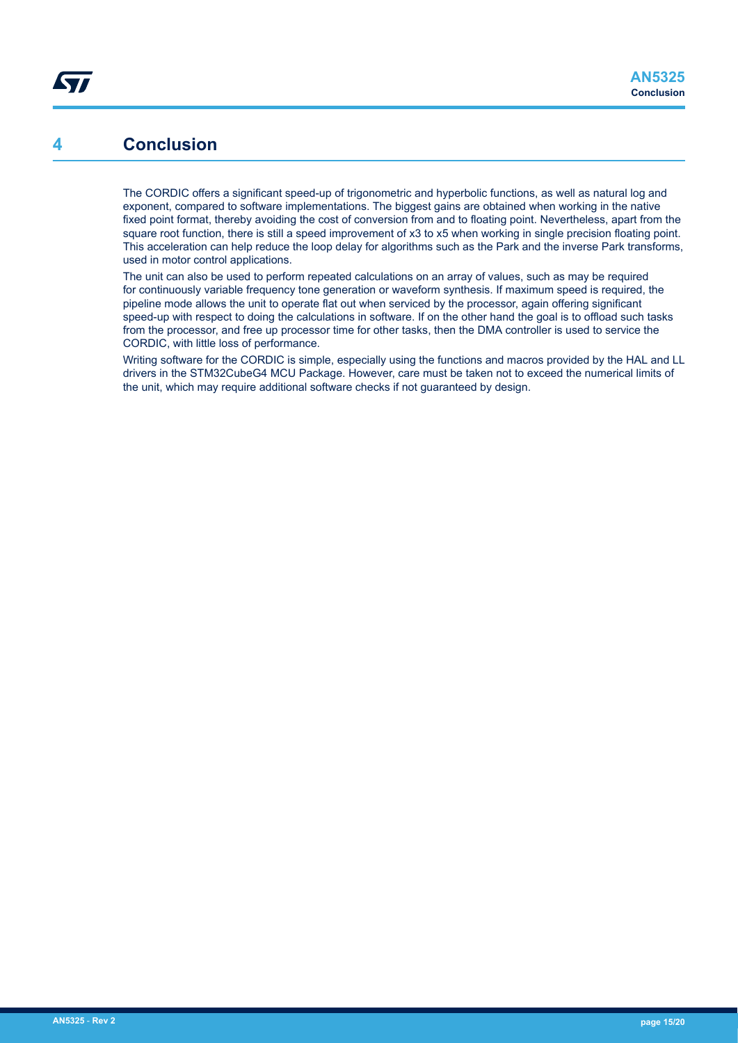### <span id="page-14-0"></span>**4 Conclusion**

The CORDIC offers a significant speed-up of trigonometric and hyperbolic functions, as well as natural log and exponent, compared to software implementations. The biggest gains are obtained when working in the native fixed point format, thereby avoiding the cost of conversion from and to floating point. Nevertheless, apart from the square root function, there is still a speed improvement of x3 to x5 when working in single precision floating point. This acceleration can help reduce the loop delay for algorithms such as the Park and the inverse Park transforms, used in motor control applications.

The unit can also be used to perform repeated calculations on an array of values, such as may be required for continuously variable frequency tone generation or waveform synthesis. If maximum speed is required, the pipeline mode allows the unit to operate flat out when serviced by the processor, again offering significant speed-up with respect to doing the calculations in software. If on the other hand the goal is to offload such tasks from the processor, and free up processor time for other tasks, then the DMA controller is used to service the CORDIC, with little loss of performance.

Writing software for the CORDIC is simple, especially using the functions and macros provided by the HAL and LL drivers in the STM32CubeG4 MCU Package. However, care must be taken not to exceed the numerical limits of the unit, which may require additional software checks if not guaranteed by design.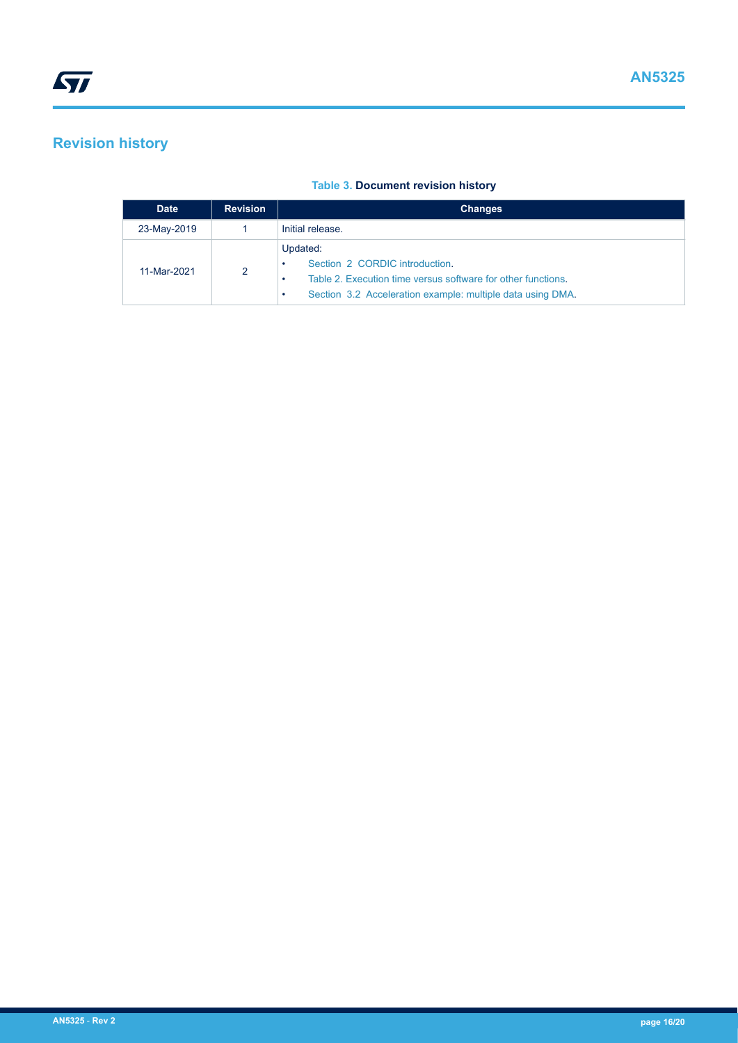## <span id="page-15-0"></span>**Revision history**

#### **Table 3. Document revision history**

| <b>Date</b> | <b>Revision</b> | <b>Changes</b>                                                                                                                                                           |
|-------------|-----------------|--------------------------------------------------------------------------------------------------------------------------------------------------------------------------|
| 23-May-2019 |                 | Initial release.                                                                                                                                                         |
| 11-Mar-2021 | 2               | Updated:<br>Section 2 CORDIC introduction.<br>Table 2. Execution time versus software for other functions.<br>Section 3.2 Acceleration example: multiple data using DMA. |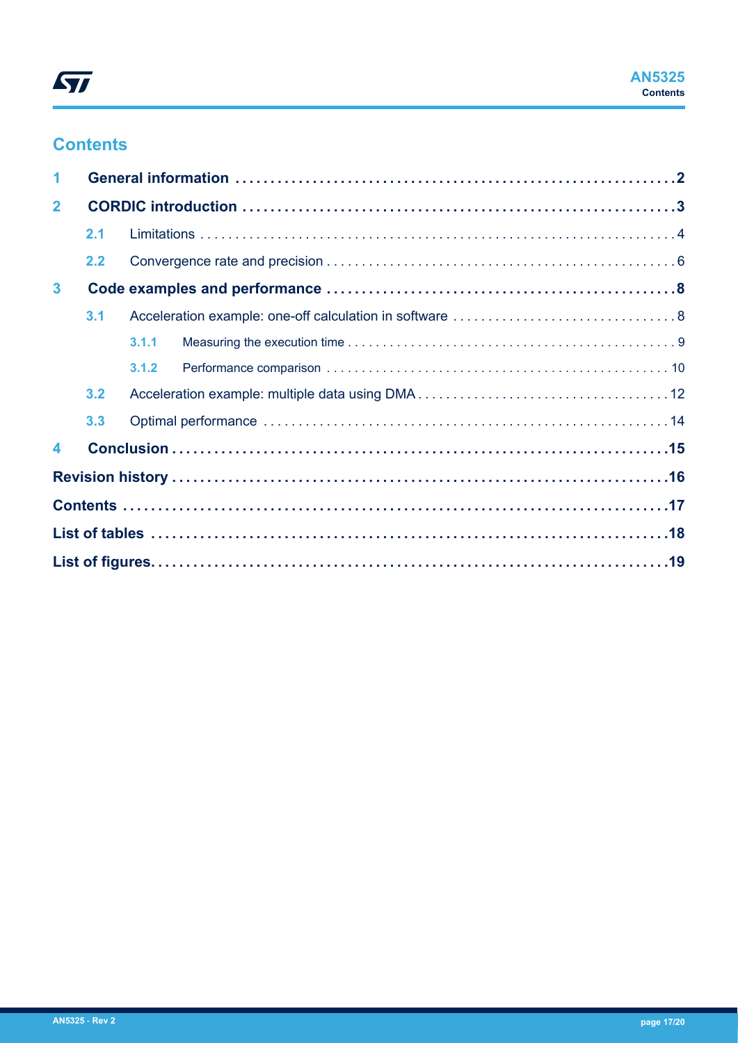## **Contents**

| 1              |     |       |  |  |
|----------------|-----|-------|--|--|
| $\overline{2}$ |     |       |  |  |
|                | 2.1 |       |  |  |
|                | 2.2 |       |  |  |
| $\mathbf{3}$   |     |       |  |  |
|                | 3.1 |       |  |  |
|                |     | 3.1.1 |  |  |
|                |     | 3.1.2 |  |  |
|                | 3.2 |       |  |  |
|                | 3.3 |       |  |  |
| 4              |     |       |  |  |
|                |     |       |  |  |
|                |     |       |  |  |
|                |     |       |  |  |
|                |     |       |  |  |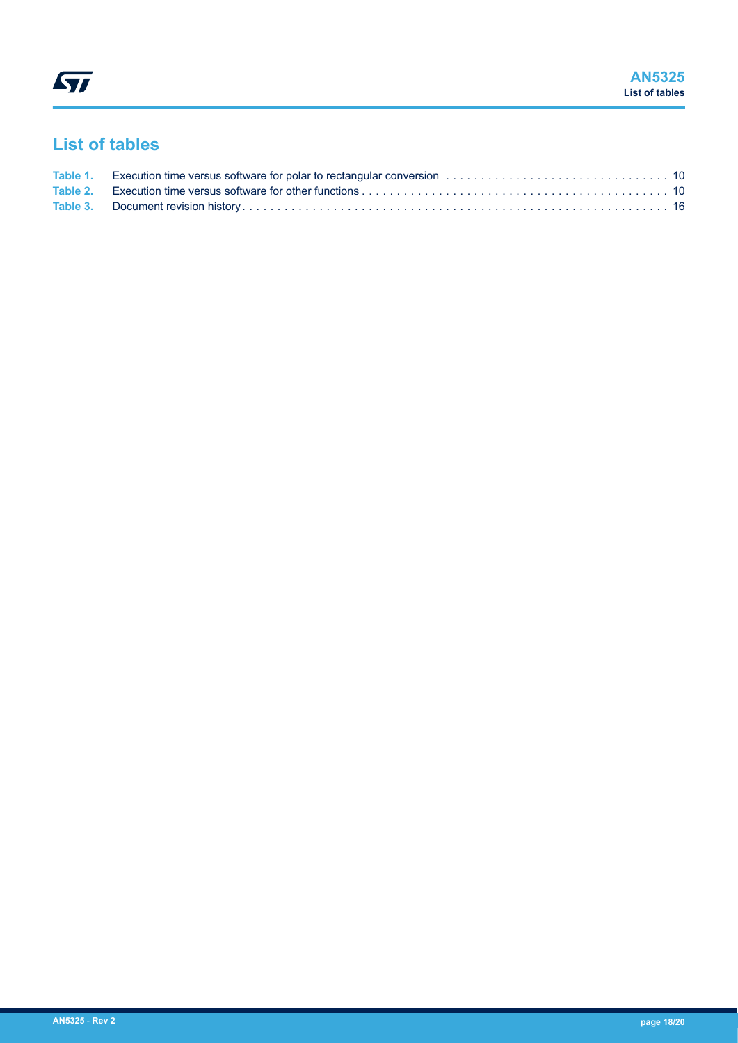## <span id="page-17-0"></span>**List of tables**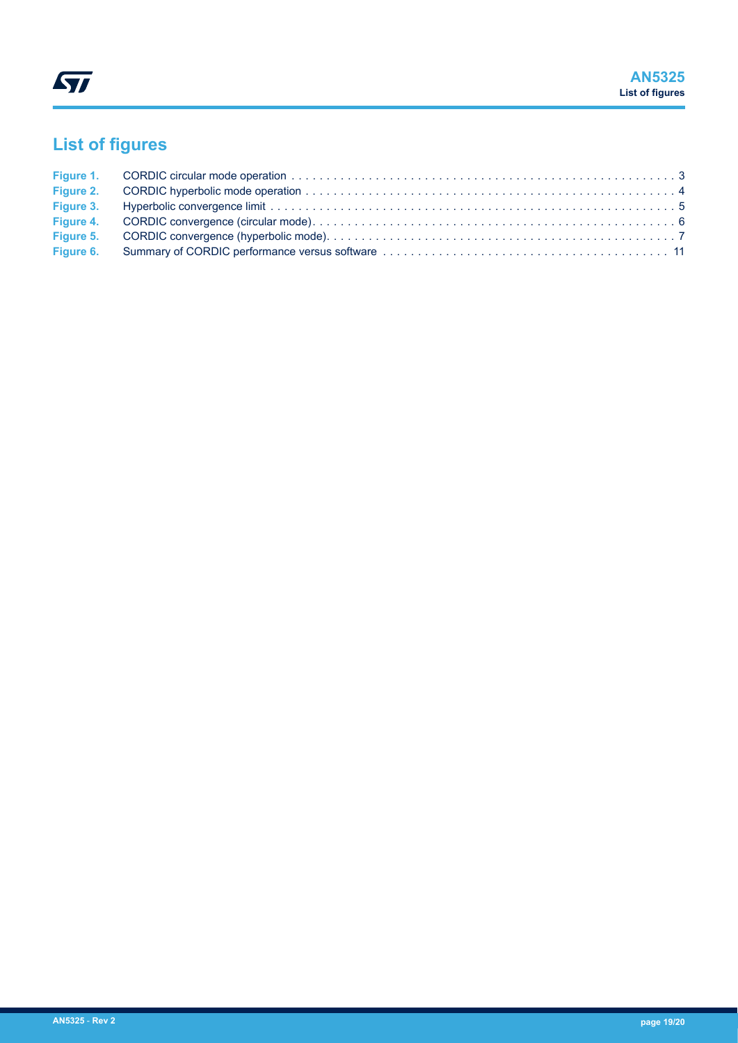# <span id="page-18-0"></span>**List of figures**

| Figure 3. |  |
|-----------|--|
|           |  |
|           |  |
|           |  |